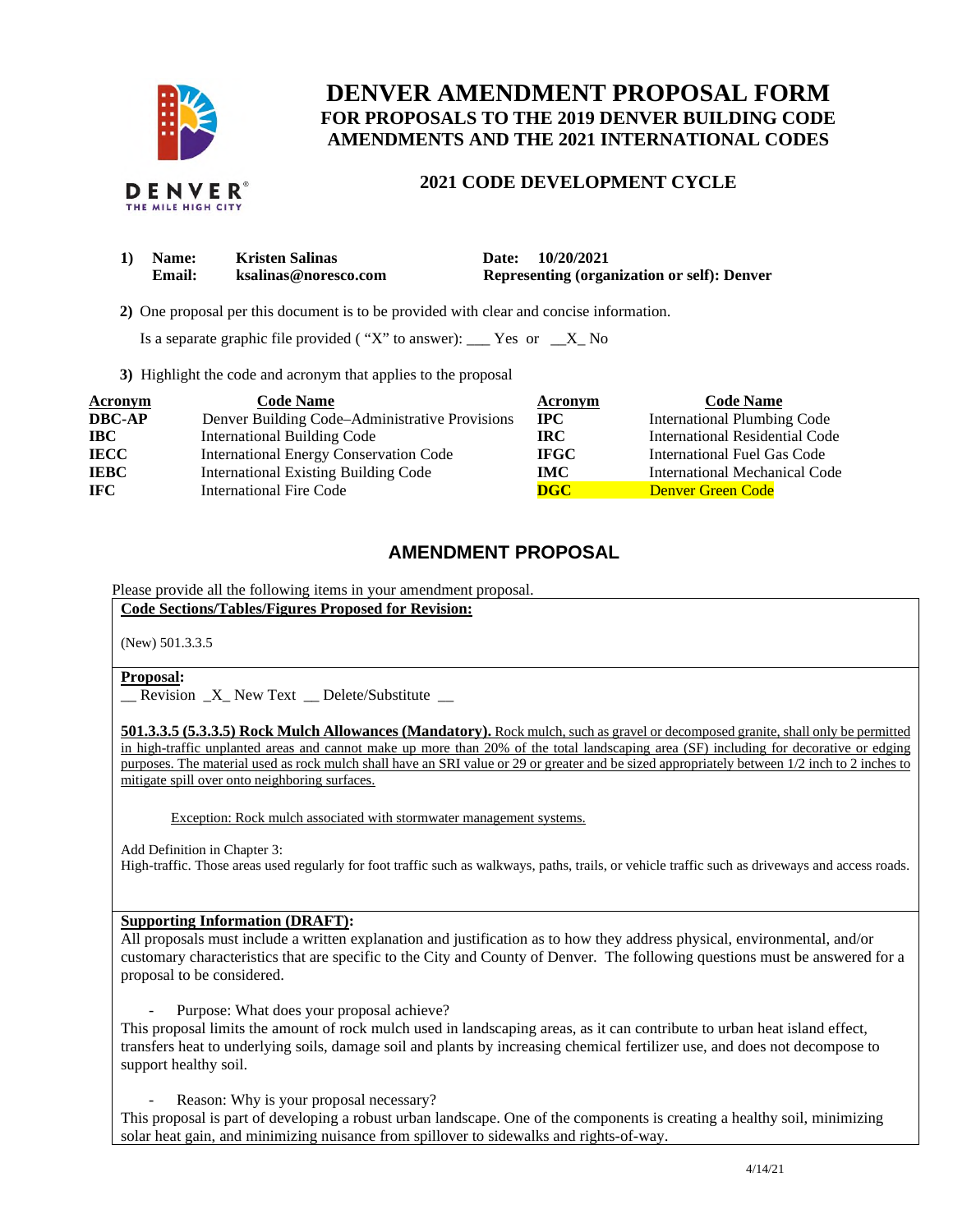

# **DENVER AMENDMENT PROPOSAL FORM FOR PROPOSALS TO THE 2019 DENVER BUILDING CODE AMENDMENTS AND THE 2021 INTERNATIONAL CODES**

### **2021 CODE DEVELOPMENT CYCLE**

| 1) Name: | <b>Kristen Salinas</b> | 10/20/2021<br><b>Date:</b>                         |
|----------|------------------------|----------------------------------------------------|
| Email:   | ksalinas@noresco.com   | <b>Representing (organization or self): Denver</b> |

**2)** One proposal per this document is to be provided with clear and concise information.

Is a separate graphic file provided ("X" to answer):  $\frac{Y}{S}$  Yes or  $\frac{X}{S}$  No

**3)** Highlight the code and acronym that applies to the proposal

| <b>Acronym</b> | <b>Code Name</b>                               | Acronym     | <b>Code Name</b>                   |
|----------------|------------------------------------------------|-------------|------------------------------------|
| <b>DBC-AP</b>  | Denver Building Code-Administrative Provisions | $\bf{IPC}$  | <b>International Plumbing Code</b> |
| $\bf IBC$      | <b>International Building Code</b>             | IRC-        | International Residential Code     |
| <b>IECC</b>    | <b>International Energy Conservation Code</b>  | <b>IFGC</b> | International Fuel Gas Code        |
| <b>IEBC</b>    | <b>International Existing Building Code</b>    | IMC         | International Mechanical Code      |
| <b>IFC</b>     | <b>International Fire Code</b>                 | <b>DGC</b>  | Denver Green Code                  |

## **AMENDMENT PROPOSAL**

Please provide all the following items in your amendment proposal.

**Code Sections/Tables/Figures Proposed for Revision:** 

(New) 501.3.3.5

### **Proposal:**

\_\_ Revision \_X\_ New Text \_\_ Delete/Substitute \_\_

 **501.3.3.5 (5.3.3.5) Rock Mulch Allowances (Mandatory).** Rock mulch, such as gravel or decomposed granite, shall only be permitted in high-traffic unplanted areas and cannot make up more than 20% of the total landscaping area (SF) including for decorative or edging purposes. The material used as rock mulch shall have an SRI value or 29 or greater and be sized appropriately between 1/2 inch to 2 inches to mitigate spill over onto neighboring surfaces.

Exception: Rock mulch associated with stormwater management systems.

Add Definition in Chapter 3:

High-traffic. Those areas used regularly for foot traffic such as walkways, paths, trails, or vehicle traffic such as driveways and access roads.

### **Supporting Information (DRAFT):**

 All proposals must include a written explanation and justification as to how they address physical, environmental, and/or customary characteristics that are specific to the City and County of Denver. The following questions must be answered for a proposal to be considered.

- Purpose: What does your proposal achieve?

 This proposal limits the amount of rock mulch used in landscaping areas, as it can contribute to urban heat island effect, transfers heat to underlying soils, damage soil and plants by increasing chemical fertilizer use, and does not decompose to support healthy soil.

- Reason: Why is your proposal necessary?

 This proposal is part of developing a robust urban landscape. One of the components is creating a healthy soil, minimizing solar heat gain, and minimizing nuisance from spillover to sidewalks and rights-of-way.